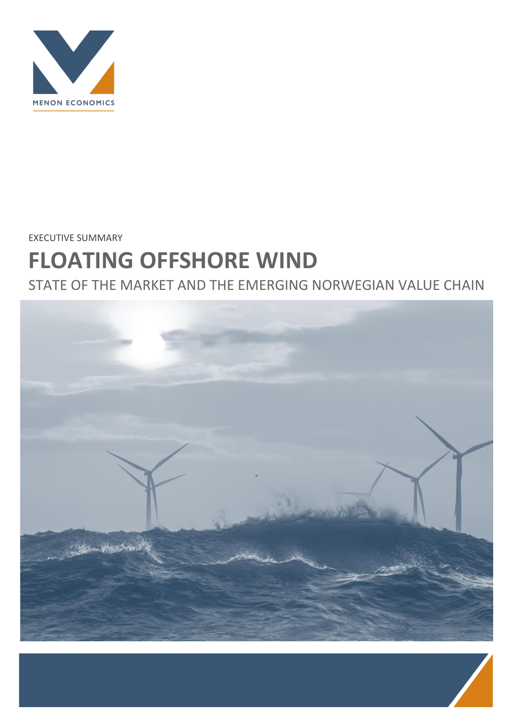

EXECUTIVE SUMMARY

# **FLOATING OFFSHORE WIND**

STATE OF THE MARKET AND THE EMERGING NORWEGIAN VALUE CHAIN

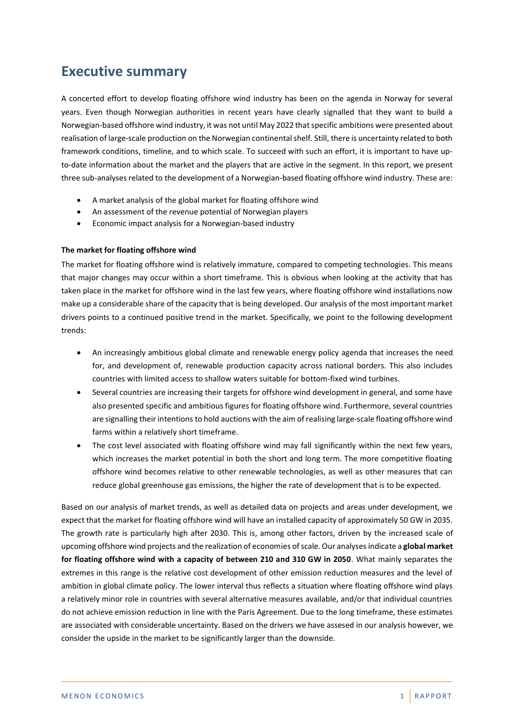# **Executive summary**

A concerted effort to develop floating offshore wind industry has been on the agenda in Norway for several years. Even though Norwegian authorities in recent years have clearly signalled that they want to build a Norwegian-based offshore wind industry, it was not until May 2022 that specific ambitions were presented about realisation of large-scale production on the Norwegian continental shelf. Still, there is uncertainty related to both framework conditions, timeline, and to which scale. To succeed with such an effort, it is important to have upto-date information about the market and the players that are active in the segment. In this report, we present three sub-analyses related to the development of a Norwegian-based floating offshore wind industry. These are:

- A market analysis of the global market for floating offshore wind
- An assessment of the revenue potential of Norwegian players
- Economic impact analysis for a Norwegian-based industry

## **The market for floating offshore wind**

The market for floating offshore wind is relatively immature, compared to competing technologies. This means that major changes may occur within a short timeframe. This is obvious when looking at the activity that has taken place in the market for offshore wind in the last few years, where floating offshore wind installations now make up a considerable share of the capacity that is being developed. Our analysis of the most important market drivers points to a continued positive trend in the market. Specifically, we point to the following development trends:

- An increasingly ambitious global climate and renewable energy policy agenda that increases the need for, and development of, renewable production capacity across national borders. This also includes countries with limited access to shallow waters suitable for bottom-fixed wind turbines.
- Several countries are increasing their targets for offshore wind development in general, and some have also presented specific and ambitious figures for floating offshore wind. Furthermore, several countries are signalling their intentions to hold auctions with the aim of realising large-scale floating offshore wind farms within a relatively short timeframe.
- The cost level associated with floating offshore wind may fall significantly within the next few years, which increases the market potential in both the short and long term. The more competitive floating offshore wind becomes relative to other renewable technologies, as well as other measures that can reduce global greenhouse gas emissions, the higher the rate of development that is to be expected.

Based on our analysis of market trends, as well as detailed data on projects and areas under development, we expect that the market for floating offshore wind will have an installed capacity of approximately 50 GW in 2035. The growth rate is particularly high after 2030. This is, among other factors, driven by the increased scale of upcoming offshore wind projects and the realization of economies of scale. Our analyses indicate a **global market for floating offshore wind with a capacity of between 210 and 310 GW in 2050**. What mainly separates the extremes in this range is the relative cost development of other emission reduction measures and the level of ambition in global climate policy. The lower interval thus reflects a situation where floating offshore wind plays a relatively minor role in countries with several alternative measures available, and/or that individual countries do not achieve emission reduction in line with the Paris Agreement. Due to the long timeframe, these estimates are associated with considerable uncertainty. Based on the drivers we have assesed in our analysis however, we consider the upside in the market to be significantly larger than the downside.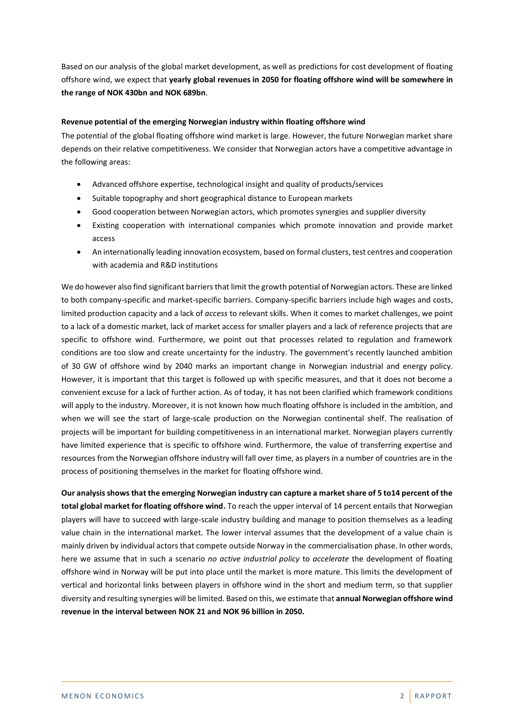Based on our analysis of the global market development, as well as predictions for cost development of floating offshore wind, we expect that **yearly global revenues in 2050 for floating offshore wind will be somewhere in the range of NOK 430bn and NOK 689bn**.

# **Revenue potential of the emerging Norwegian industry within floating offshore wind**

The potential of the global floating offshore wind market is large. However, the future Norwegian market share depends on their relative competitiveness. We consider that Norwegian actors have a competitive advantage in the following areas:

- Advanced offshore expertise, technological insight and quality of products/services
- Suitable topography and short geographical distance to European markets
- Good cooperation between Norwegian actors, which promotes synergies and supplier diversity
- Existing cooperation with international companies which promote innovation and provide market access
- An internationally leading innovation ecosystem, based on formal clusters, test centres and cooperation with academia and R&D institutions

We do however also find significant barriers that limit the growth potential of Norwegian actors. These are linked to both company-specific and market-specific barriers. Company-specific barriers include high wages and costs, limited production capacity and a lack of *access* to relevant skills. When it comes to market challenges, we point to a lack of a domestic market, lack of market access for smaller players and a lack of reference projects that are specific to offshore wind. Furthermore, we point out that processes related to regulation and framework conditions are too slow and create uncertainty for the industry. The government's recently launched ambition of 30 GW of offshore wind by 2040 marks an important change in Norwegian industrial and energy policy. However, it is important that this target is followed up with specific measures, and that it does not become a convenient excuse for a lack of further action. As of today, it has not been clarified which framework conditions will apply to the industry. Moreover, it is not known how much floating offshore is included in the ambition, and when we will see the start of large-scale production on the Norwegian continental shelf. The realisation of projects will be important for building competitiveness in an international market. Norwegian players currently have limited experience that is specific to offshore wind. Furthermore, the value of transferring expertise and resources from the Norwegian offshore industry will fall over time, as players in a number of countries are in the process of positioning themselves in the market for floating offshore wind.

**Our analysis shows that the emerging Norwegian industry can capture a market share of 5 to14 percent of the total global market for floating offshore wind.** To reach the upper interval of 14 percent entails that Norwegian players will have to succeed with large-scale industry building and manage to position themselves as a leading value chain in the international market. The lower interval assumes that the development of a value chain is mainly driven by individual actors that compete outside Norway in the commercialisation phase. In other words, here we assume that in such a scenario *no active industrial policy* to *accelerate* the development of floating offshore wind in Norway will be put into place until the market is more mature. This limits the development of vertical and horizontal links between players in offshore wind in the short and medium term, so that supplier diversity and resulting synergies will be limited. Based on this, we estimate that **annual Norwegian offshore wind revenue in the interval between NOK 21 and NOK 96 billion in 2050.**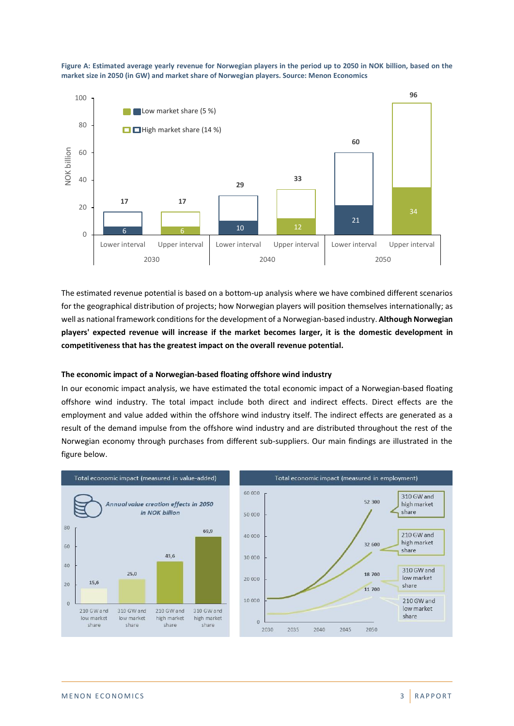

**Figure A: Estimated average yearly revenue for Norwegian players in the period up to 2050 in NOK billion, based on the market size in 2050 (in GW) and market share of Norwegian players. Source: Menon Economics**

The estimated revenue potential is based on a bottom-up analysis where we have combined different scenarios for the geographical distribution of projects; how Norwegian players will position themselves internationally; as well as national framework conditions for the development of a Norwegian-based industry. **Although Norwegian players' expected revenue will increase if the market becomes larger, it is the domestic development in competitiveness that has the greatest impact on the overall revenue potential.**

## **The economic impact of a Norwegian-based floating offshore wind industry**

In our economic impact analysis, we have estimated the total economic impact of a Norwegian-based floating offshore wind industry. The total impact include both direct and indirect effects. Direct effects are the employment and value added within the offshore wind industry itself. The indirect effects are generated as a result of the demand impulse from the offshore wind industry and are distributed throughout the rest of the Norwegian economy through purchases from different sub-suppliers. Our main findings are illustrated in the figure below.



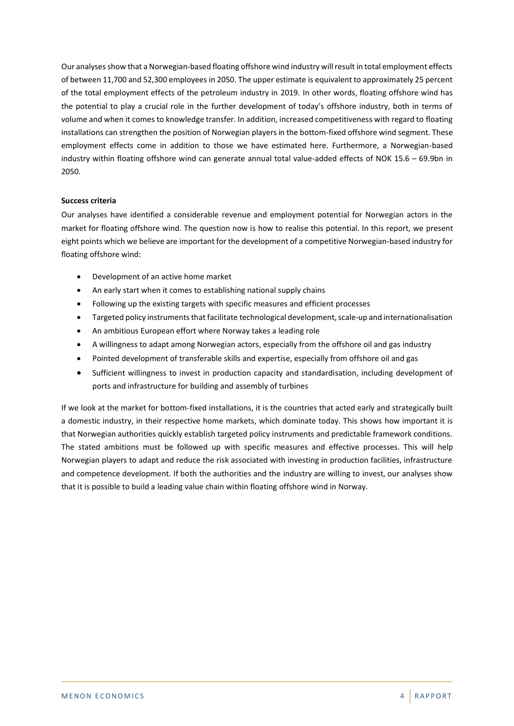Our analyses show that a Norwegian-based floating offshore wind industry will result in total employment effects of between 11,700 and 52,300 employees in 2050. The upper estimate is equivalent to approximately 25 percent of the total employment effects of the petroleum industry in 2019. In other words, floating offshore wind has the potential to play a crucial role in the further development of today's offshore industry, both in terms of volume and when it comes to knowledge transfer. In addition, increased competitiveness with regard to floating installations can strengthen the position of Norwegian players in the bottom-fixed offshore wind segment. These employment effects come in addition to those we have estimated here. Furthermore, a Norwegian-based industry within floating offshore wind can generate annual total value-added effects of NOK 15.6 – 69.9bn in 2050.

## **Success criteria**

Our analyses have identified a considerable revenue and employment potential for Norwegian actors in the market for floating offshore wind. The question now is how to realise this potential. In this report, we present eight points which we believe are important for the development of a competitive Norwegian-based industry for floating offshore wind:

- Development of an active home market
- An early start when it comes to establishing national supply chains
- Following up the existing targets with specific measures and efficient processes
- Targeted policy instruments that facilitate technological development, scale-up and internationalisation
- An ambitious European effort where Norway takes a leading role
- A willingness to adapt among Norwegian actors, especially from the offshore oil and gas industry
- Pointed development of transferable skills and expertise, especially from offshore oil and gas
- Sufficient willingness to invest in production capacity and standardisation, including development of ports and infrastructure for building and assembly of turbines

If we look at the market for bottom-fixed installations, it is the countries that acted early and strategically built a domestic industry, in their respective home markets, which dominate today. This shows how important it is that Norwegian authorities quickly establish targeted policy instruments and predictable framework conditions. The stated ambitions must be followed up with specific measures and effective processes. This will help Norwegian players to adapt and reduce the risk associated with investing in production facilities, infrastructure and competence development. If both the authorities and the industry are willing to invest, our analyses show that it is possible to build a leading value chain within floating offshore wind in Norway.